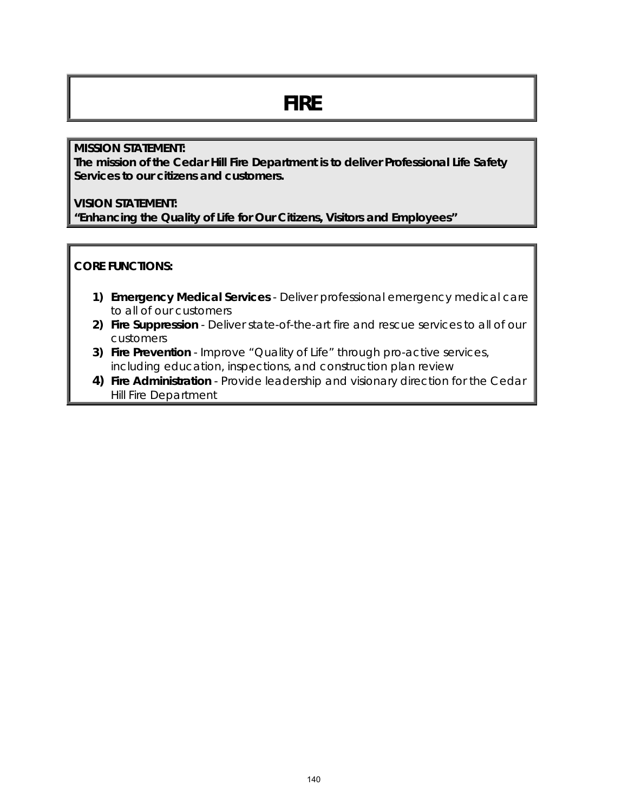# **FIRE**

#### **MISSION STATEMENT:**

**The mission of the Cedar Hill Fire Department is to deliver Professional Life Safety Services to our citizens and customers.**

#### **VISION STATEMENT:**

**"Enhancing the Quality of Life for Our Citizens, Visitors and Employees"**

#### **CORE FUNCTIONS:**

- **1) Emergency Medical Services** Deliver professional emergency medical care to all of our customers
- **2) Fire Suppression** Deliver state-of-the-art fire and rescue services to all of our customers
- **3) Fire Prevention**  Improve "Quality of Life" through pro-active services, including education, inspections, and construction plan review
- **4) Fire Administration** Provide leadership and visionary direction for the Cedar Hill Fire Department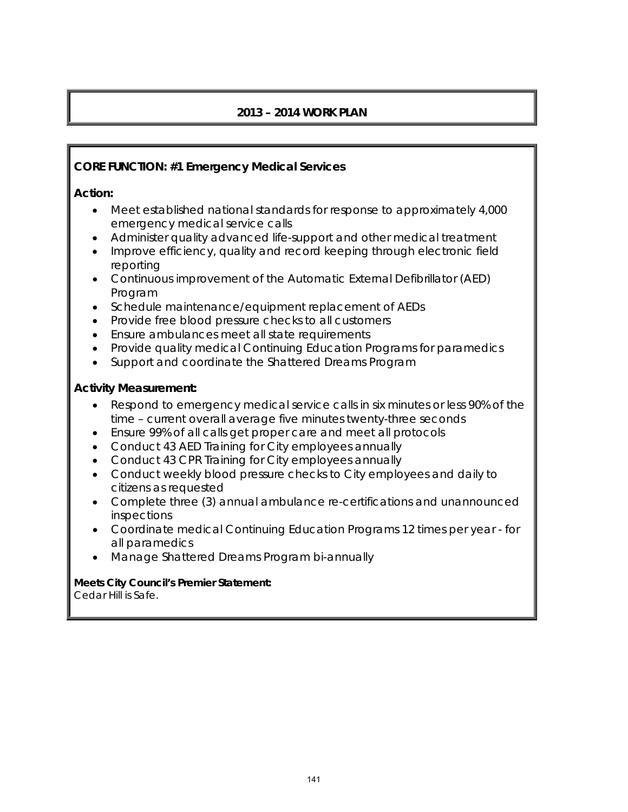### **2013 – 2014 WORK PLAN**

#### **CORE FUNCTION: #1 Emergency Medical Services**

#### **Action:**

- Meet established national standards for response to approximately 4,000 emergency medical service calls
- Administer quality advanced life-support and other medical treatment
- Improve efficiency, quality and record keeping through electronic field reporting
- Continuous improvement of the Automatic External Defibrillator (AED) Program
- Schedule maintenance/equipment replacement of AEDs
- Provide free blood pressure checks to all customers
- Ensure ambulances meet all state requirements
- Provide quality medical Continuing Education Programs for paramedics
- Support and coordinate the Shattered Dreams Program

#### **Activity Measurement:**

- Respond to emergency medical service calls in six minutes or less 90% of the time – current overall average five minutes twenty-three seconds
- Ensure 99% of all calls get proper care and meet all protocols
- Conduct 43 AED Training for City employees annually
- Conduct 43 CPR Training for City employees annually
- Conduct weekly blood pressure checks to City employees and daily to citizens as requested
- Complete three (3) annual ambulance re-certifications and unannounced inspections
- Coordinate medical Continuing Education Programs 12 times per year for all paramedics
- Manage Shattered Dreams Program bi-annually

## **Meets City Council's Premier Statement:**

Cedar Hill is Safe.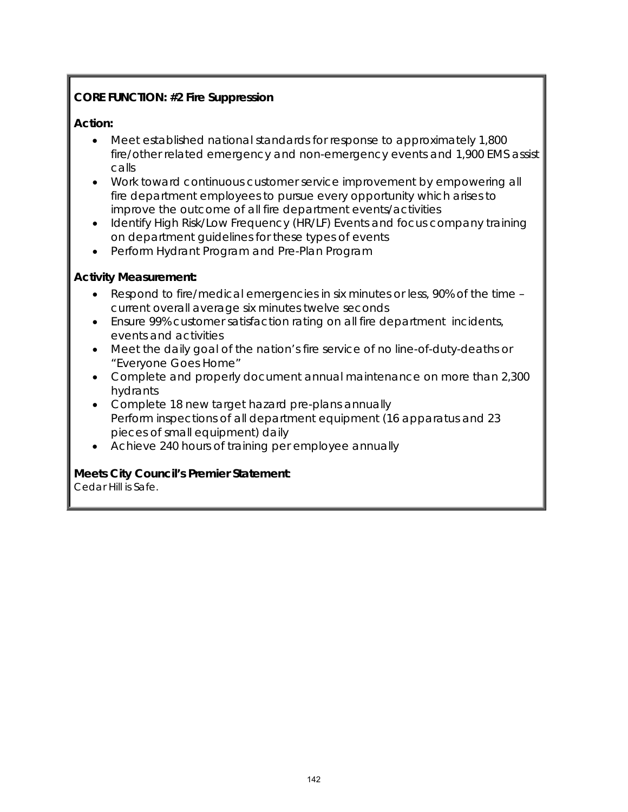#### **CORE FUNCTION: #2 Fire Suppression**

#### **Action:**

- Meet established national standards for response to approximately 1,800 fire/other related emergency and non-emergency events and 1,900 EMS assist calls
- Work toward continuous customer service improvement by empowering all fire department employees to pursue every opportunity which arises to improve the outcome of all fire department events/activities
- Identify High Risk/Low Frequency (HR/LF) Events and focus company training on department guidelines for these types of events
- Perform Hydrant Program and Pre-Plan Program

#### **Activity Measurement:**

- Respond to fire/medical emergencies in six minutes or less, 90% of the time current overall average six minutes twelve seconds
- Ensure 99% customer satisfaction rating on all fire department incidents, events and activities
- Meet the daily goal of the nation's fire service of no line-of-duty-deaths or "Everyone Goes Home"
- Complete and properly document annual maintenance on more than 2,300 hydrants
- Complete 18 new target hazard pre-plans annually Perform inspections of all department equipment (16 apparatus and 23 pieces of small equipment) daily
- Achieve 240 hours of training per employee annually

#### **Meets City Council's Premier Statement**:

Cedar Hill is Safe.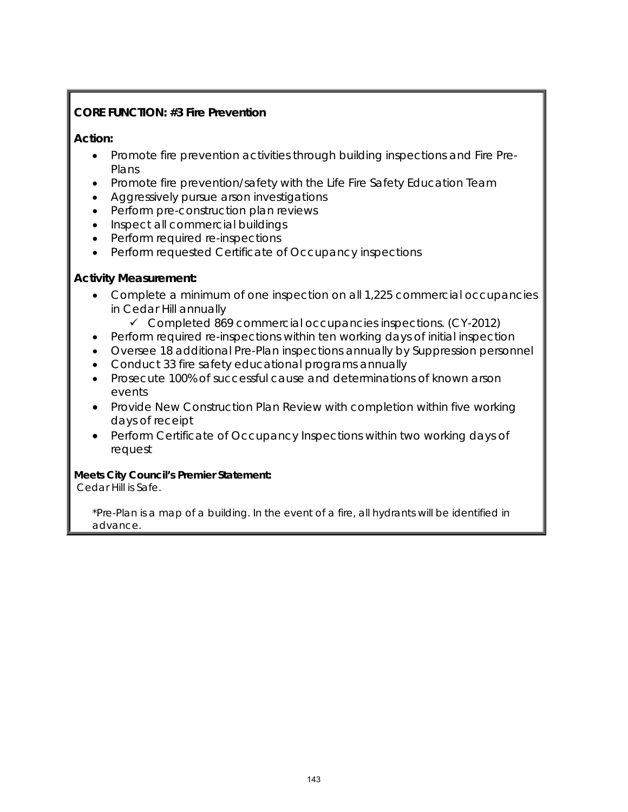#### **CORE FUNCTION: #3 Fire Prevention**

#### **Action:**

- Promote fire prevention activities through building inspections and Fire Pre-Plans
- Promote fire prevention/safety with the Life Fire Safety Education Team
- Aggressively pursue arson investigations
- Perform pre-construction plan reviews
- Inspect all commercial buildings
- Perform required re-inspections
- Perform requested Certificate of Occupancy inspections

#### **Activity Measurement:**

- Complete a minimum of one inspection on all 1,225 commercial occupancies in Cedar Hill annually
	- $\checkmark$  Completed 869 commercial occupancies inspections. (CY-2012)
- Perform required re-inspections within ten working days of initial inspection
- Oversee 18 additional Pre-Plan inspections annually by Suppression personnel
- Conduct 33 fire safety educational programs annually
- Prosecute 100% of successful cause and determinations of known arson events
- Provide New Construction Plan Review with completion within five working days of receipt
- Perform Certificate of Occupancy Inspections within two working days of request

#### **Meets City Council's Premier Statement:**

Cedar Hill is Safe.

\*Pre-Plan is a map of a building. In the event of a fire, all hydrants will be identified in advance.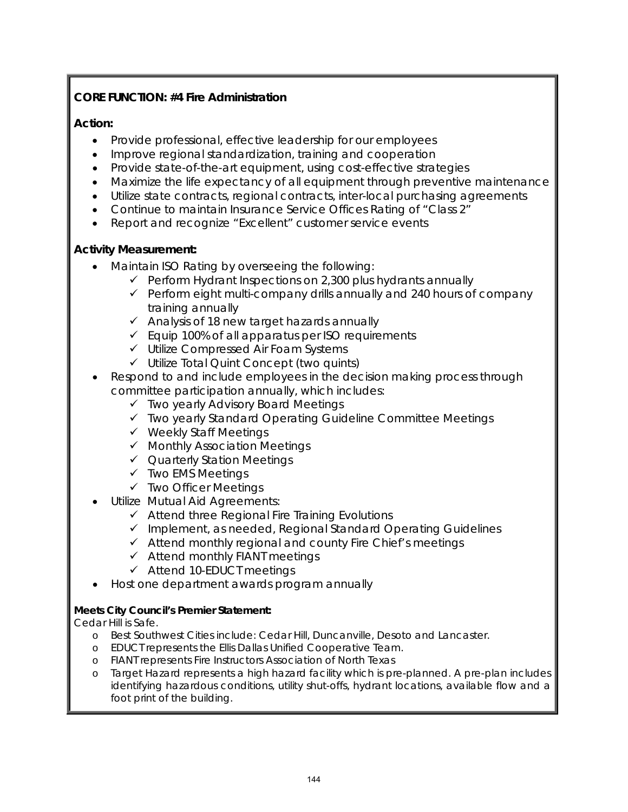#### **CORE FUNCTION: #4 Fire Administration**

#### **Action:**

- Provide professional, effective leadership for our employees
- Improve regional standardization, training and cooperation
- Provide state-of-the-art equipment, using cost-effective strategies
- Maximize the life expectancy of all equipment through preventive maintenance
- Utilize state contracts, regional contracts, inter-local purchasing agreements
- Continue to maintain Insurance Service Offices Rating of "Class 2"
- Report and recognize "Excellent" customer service events

#### **Activity Measurement:**

- Maintain ISO Rating by overseeing the following:
	- $\checkmark$  Perform Hydrant Inspections on 2,300 plus hydrants annually
	- $\checkmark$  Perform eight multi-company drills annually and 240 hours of company training annually
	- $\checkmark$  Analysis of 18 new target hazards annually
	- $\checkmark$  Equip 100% of all apparatus per ISO requirements
	- Utilize Compressed Air Foam Systems
	- $\checkmark$  Utilize Total Quint Concept (two quints)
- Respond to and include employees in the decision making process through committee participation annually, which includes:
	- $\checkmark$  Two yearly Advisory Board Meetings
	- Two yearly Standard Operating Guideline Committee Meetings
	- $\checkmark$  Weekly Staff Meetings
	- $\checkmark$  Monthly Association Meetings
	- Quarterly Station Meetings
	- Two EMS Meetings
	- Two Officer Meetings
	- Utilize Mutual Aid Agreements:
		- $\checkmark$  Attend three Regional Fire Training Evolutions
		- $\checkmark$  Implement, as needed, Regional Standard Operating Guidelines
		- $\checkmark$  Attend monthly regional and county Fire Chief's meetings
		- $\checkmark$  Attend monthly FIANT meetings
		- $\checkmark$  Attend 10-EDUCT meetings
- Host one department awards program annually

#### **Meets City Council's Premier Statement:**

Cedar Hill is Safe.

- o Best Southwest Cities include: Cedar Hill, Duncanville, Desoto and Lancaster.
- o EDUCT represents the Ellis Dallas Unified Cooperative Team.
- o FIANT represents Fire Instructors Association of North Texas
- o Target Hazard represents a high hazard facility which is pre-planned. A pre-plan includes identifying hazardous conditions, utility shut-offs, hydrant locations, available flow and a foot print of the building.